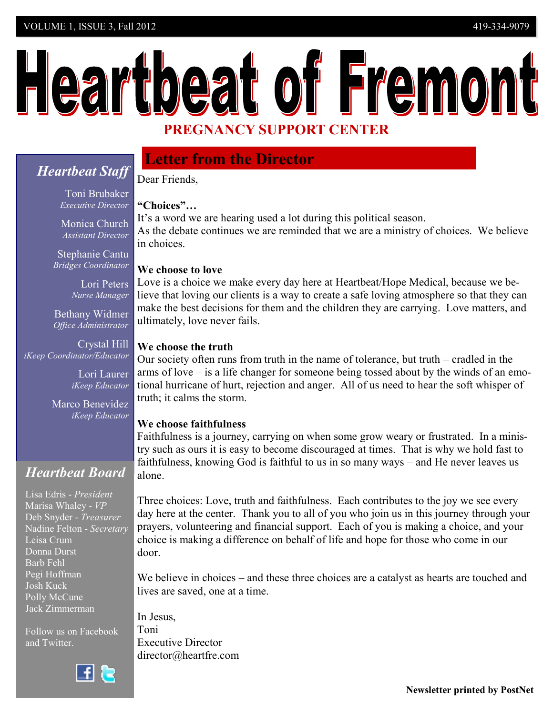# Heartbeat of Fremont **PREGNANCY SUPPORT CENTER**

# *Heartbeat Staff*

Toni Brubaker *Executive Director*

Monica Church *Assistant Director*

Stephanie Cantu  *Bridges Coordinator* 

> Lori Peters *Nurse Manager*

Bethany Widmer *Office Administrator*

Crystal Hill *iKeep Coordinator/Educator*

> Lori Laurer *iKeep Educator*

Marco Benevidez *iKeep Educator*

# *Heartbeat Board*

Lisa Edris - *President* Marisa Whaley - *VP* Deb Snyder - *Treasurer* Nadine Felton - *Secretary* Leisa Crum Donna Durst Barb Fehl Pegi Hoffman Josh Kuck Polly McCune Jack Zimmerman

Follow us on Facebook and Twitter.



# **Letter from the Director**

Dear Friends,

### **"Choices"…**

It's a word we are hearing used a lot during this political season. As the debate continues we are reminded that we are a ministry of choices. We believe in choices.

### **We choose to love**

Love is a choice we make every day here at Heartbeat/Hope Medical, because we believe that loving our clients is a way to create a safe loving atmosphere so that they can make the best decisions for them and the children they are carrying. Love matters, and ultimately, love never fails.

### **We choose the truth**

Our society often runs from truth in the name of tolerance, but truth – cradled in the arms of love – is a life changer for someone being tossed about by the winds of an emotional hurricane of hurt, rejection and anger. All of us need to hear the soft whisper of truth; it calms the storm.

#### **We choose faithfulness**

Faithfulness is a journey, carrying on when some grow weary or frustrated. In a ministry such as ours it is easy to become discouraged at times. That is why we hold fast to faithfulness, knowing God is faithful to us in so many ways – and He never leaves us alone.

Three choices: Love, truth and faithfulness. Each contributes to the joy we see every day here at the center. Thank you to all of you who join us in this journey through your prayers, volunteering and financial support. Each of you is making a choice, and your choice is making a difference on behalf of life and hope for those who come in our door.

We believe in choices – and these three choices are a catalyst as hearts are touched and lives are saved, one at a time.

In Jesus, Toni Executive Director director@heartfre.com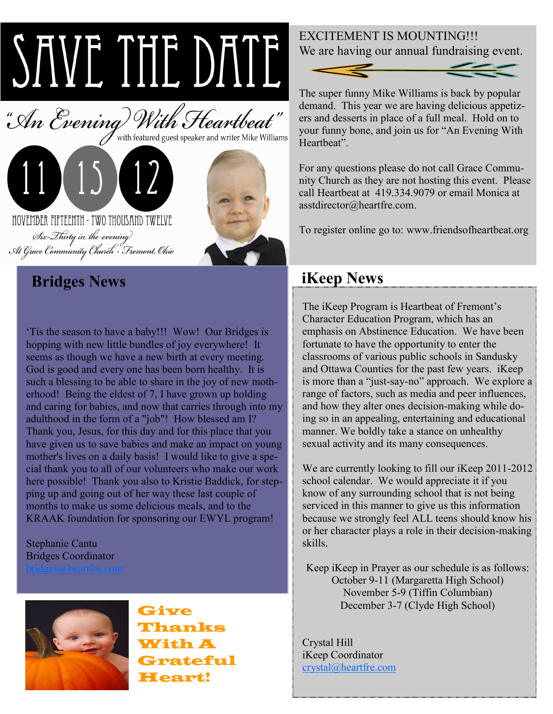# **IMPORTANT NEWS** UFCOM JE



# **Bridges News iKeep News**

'Tis the season to have a baby!!! Wow! Our Bridges is hopping with new little bundles of joy everywhere! It seems as though we have a new birth at every meeting. God is good and every one has been born healthy. It is such a blessing to be able to share in the joy of new motherhood! Being the eldest of 7, I have grown up holding and caring for babies, and now that carries through into my adulthood in the form of a "job"! How blessed am I? Thank you, Jesus, for this day and for this place that you have given us to save babies and make an impact on young mother's lives on a daily basis! I would like to give a special thank you to all of our volunteers who make our work here possible! Thank you also to Kristie Baddick, for stepping up and going out of her way these last couple of months to make us some delicious meals, and to the KRAAK foundation for sponsoring our EWYL program!

## Stephanie Cantu Bridges Coordinator



Give Thanks With A Grateful Heart!

# EXCITEMENT IS MOUNTING!!! We are having our annual fundraising event.



The super funny Mike Williams is back by popular demand. This year we are having delicious appetizers and desserts in place of a full meal. Hold on to your funny bone, and join us for "An Evening With Heartheat"

For any questions please do not call Grace Community Church as they are not hosting this event. Please call Heartbeat at 419.334.9079 or email Monica at asstdirector@heartfre.com.

To register online go to: www.friendsofheartbeat.org

The iKeep Program is Heartbeat of Fremont's Character Education Program, which has an emphasis on Abstinence Education. We have been fortunate to have the opportunity to enter the classrooms of various public schools in Sandusky and Ottawa Counties for the past few years. iKeep is more than a "just-say-no" approach. We explore a range of factors, such as media and peer influences, and how they alter ones decision-making while doing so in an appealing, entertaining and educational manner. We boldly take a stance on unhealthy sexual activity and its many consequences.

We are currently looking to fill our iKeep 2011-2012 school calendar. We would appreciate it if you know of any surrounding school that is not being serviced in this manner to give us this information because we strongly feel ALL teens should know his or her character plays a role in their decision-making skills.

Keep iKeep in Prayer as our schedule is as follows: October 9-11 (Margaretta High School) November 5-9 (Tiffin Columbian) December 3-7 (Clyde High School)

Crystal Hill iKeep Coordinator [crystal@heartfre.com](mailto:crystal@heartfre.com)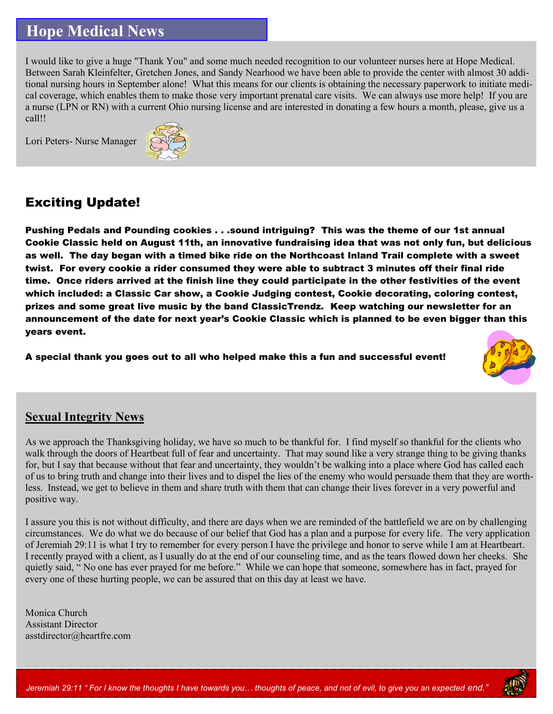# **Hope Medical News**

I would like to give a huge "Thank You" and some much needed recognition to our volunteer nurses here at Hope Medical. Between Sarah Kleinfelter, Gretchen Jones, and Sandy Nearhood we have been able to provide the center with almost 30 additional nursing hours in September alone! What this means for our clients is obtaining the necessary paperwork to initiate medical coverage, which enables them to make those very important prenatal care visits. We can always use more help! If you are a nurse (LPN or RN) with a current Ohio nursing license and are interested in donating a few hours a month, please, give us a call!!

Lori Peters- Nurse Manager



# Exciting Update!

Pushing Pedals and Pounding cookies . . .sound intriguing? This was the theme of our 1st annual Cookie Classic held on August 11th, an innovative fundraising idea that was not only fun, but delicious as well. The day began with a timed bike ride on the Northcoast Inland Trail complete with a sweet twist. For every cookie a rider consumed they were able to subtract 3 minutes off their final ride time. Once riders arrived at the finish line they could participate in the other festivities of the event which included: a Classic Car show, a Cookie Judging contest, Cookie decorating, coloring contest, prizes and some great live music by the band ClassicTrendz. Keep watching our newsletter for an announcement of the date for next year's Cookie Classic which is planned to be even bigger than this years event.

A special thank you goes out to all who helped make this a fun and successful event!



## **Sexual Integrity News**

As we approach the Thanksgiving holiday, we have so much to be thankful for. I find myself so thankful for the clients who walk through the doors of Heartbeat full of fear and uncertainty. That may sound like a very strange thing to be giving thanks for, but I say that because without that fear and uncertainty, they wouldn't be walking into a place where God has called each of us to bring truth and change into their lives and to dispel the lies of the enemy who would persuade them that they are worthless. Instead, we get to believe in them and share truth with them that can change their lives forever in a very powerful and positive way.

I assure you this is not without difficulty, and there are days when we are reminded of the battlefield we are on by challenging circumstances. We do what we do because of our belief that God has a plan and a purpose for every life. The very application of Jeremiah 29:11 is what I try to remember for every person I have the privilege and honor to serve while I am at Heartbeart. I recently prayed with a client, as I usually do at the end of our counseling time, and as the tears flowed down her cheeks. She quietly said, " No one has ever prayed for me before." While we can hope that someone, somewhere has in fact, prayed for every one of these hurting people, we can be assured that on this day at least we have.

Monica Church Assistant Director asstdirector@heartfre.com

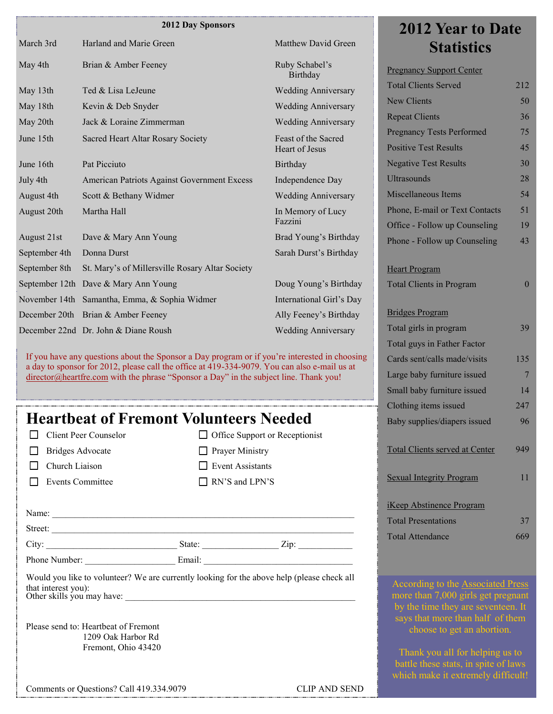#### **2012 Day Sponsors**

| March 3rd     | Harland and Marie Green                         | Matthew David Green                          | <b>Statistics</b>                                                |          |
|---------------|-------------------------------------------------|----------------------------------------------|------------------------------------------------------------------|----------|
| May 4th       | Brian & Amber Feeney                            | Ruby Schabel's<br>Birthday                   | <b>Pregnancy Support Center</b>                                  |          |
| May 13th      | Ted & Lisa LeJeune                              | <b>Wedding Anniversary</b>                   | <b>Total Clients Served</b>                                      | 212      |
| May 18th      | Kevin & Deb Snyder                              | <b>Wedding Anniversary</b>                   | <b>New Clients</b>                                               | 50       |
| May 20th      | Jack & Loraine Zimmerman                        | <b>Wedding Anniversary</b>                   | <b>Repeat Clients</b>                                            | 36       |
| June 15th     | Sacred Heart Altar Rosary Society               | Feast of the Sacred<br><b>Heart of Jesus</b> | <b>Pregnancy Tests Performed</b><br><b>Positive Test Results</b> | 75<br>45 |
| June 16th     | Pat Picciuto                                    | Birthday                                     | <b>Negative Test Results</b>                                     | 30       |
| July 4th      | American Patriots Against Government Excess     | Independence Day                             | <b>Ultrasounds</b>                                               | 28       |
| August 4th    | Scott & Bethany Widmer                          | <b>Wedding Anniversary</b>                   | <b>Miscellaneous Items</b>                                       | 54       |
| August 20th   | Martha Hall                                     | In Memory of Lucy                            | Phone, E-mail or Text Contacts                                   | 51       |
|               |                                                 | Fazzini                                      | Office - Follow up Counseling                                    | 19       |
| August 21st   | Dave & Mary Ann Young                           | Brad Young's Birthday                        | Phone - Follow up Counseling                                     | 43       |
| September 4th | Donna Durst                                     | Sarah Durst's Birthday                       |                                                                  |          |
| September 8th | St. Mary's of Millersville Rosary Altar Society |                                              | <b>Heart Program</b>                                             |          |
|               | September 12th Dave & Mary Ann Young            | Doug Young's Birthday                        | <b>Total Clients in Program</b>                                  | $\bm{0}$ |
|               | November 14th Samantha, Emma, & Sophia Widmer   | International Girl's Day                     |                                                                  |          |
|               | December 20th Brian & Amber Feeney              | Ally Feeney's Birthday                       | <b>Bridges Program</b>                                           |          |
|               | December 22nd Dr. John & Diane Roush            | <b>Wedding Anniversary</b>                   | Total girls in program                                           | 39       |
|               |                                                 |                                              |                                                                  |          |

If you have any questions about the Sponsor a Day program or if you're interested in choosing a day to sponsor for 2012, please call the office at 419-334-9079. You can also e-mail us at [director@heartfre.com](mailto:director@heartfre.com) with the phrase "Sponsor a Day" in the subject line. Thank you!

# **Heartbeat of Fremont Volunteers Needed**

| □ Client Peer Counselor |  |
|-------------------------|--|
|                         |  |

- **Bridges Advocate**
- $\Box$  Church Liaison
- Events Committee

 $\Box$  Office Support or Receptionist **Prayer Ministry** Event Assistants RN'S and LPN'S

| Name:   |        |      |  |
|---------|--------|------|--|
| Street: |        |      |  |
| City:   | State: | Zip: |  |

Phone Number: Email:

Would you like to volunteer? We are currently looking for the above help (please check all that interest you): Other skills you may have:

Please send to: Heartbeat of Fremont 1209 Oak Harbor Rd Fremont, Ohio 43420

Comments or Questions? Call 419.334.9079 CLIP AND SEND

# **2012 Year to Date**

| 36           |
|--------------|
| 75           |
| 45           |
| 30           |
| 28           |
| 54           |
| 51           |
| 19           |
| 43           |
|              |
| $\mathbf{0}$ |
|              |
| 39           |
|              |
| 135          |
| 7            |
| 14           |
| 247          |
| 96           |
| 949          |
| 11           |
|              |
| 37           |
| 669          |
|              |

According to the Associated Press more than 7,000 girls get pregnant says that more than half of them choose to get an abortion.

Thank you all for helping us to battle these stats, in spite of laws which make it extremely difficult!